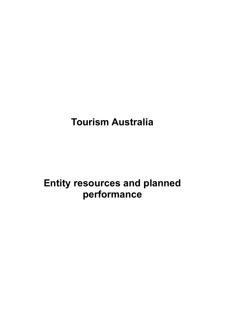**Tourism Australia**

**Entity resources and planned performance**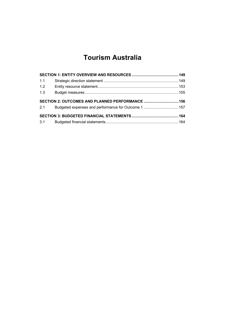# **Tourism Australia**

| 1.1 |                                                          |  |
|-----|----------------------------------------------------------|--|
| 1.2 |                                                          |  |
| 1.3 |                                                          |  |
|     | SECTION 2: OUTCOMES AND PLANNED PERFORMANCE  156         |  |
|     | 2.1 Budgeted expenses and performance for Outcome 1  157 |  |
|     |                                                          |  |
|     |                                                          |  |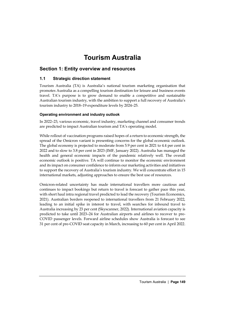# **Tourism Australia**

# <span id="page-4-0"></span>**Section 1: Entity overview and resources**

### <span id="page-4-1"></span>**1.1 Strategic direction statement**

Tourism Australia (TA) is Australia's national tourism marketing organisation that promotes Australia as a compelling tourism destination for leisure and business events travel. TA's purpose is to grow demand to enable a competitive and sustainable Australian tourism industry, with the ambition to support a full recovery of Australia's tourism industry to 2018–19 expenditure levels by 2024–25.

#### **Operating environment and industry outlook**

In 2022–23, various economic, travel industry, marketing channel and consumer trends are predicted to impact Australian tourism and TA's operating model.

While rollout of vaccination programs raised hopes of a return to economic strength, the spread of the Omicron variant is presenting concerns for the global economic outlook. The global economy is projected to moderate from 5.9 per cent in 2021 to 4.4 per cent in 2022 and to slow to 3.8 per cent in 2023 (IMF, January 2022). Australia has managed the health and general economic impacts of the pandemic relatively well. The overall economic outlook is positive. TA will continue to monitor the economic environment and its impact on consumer confidence to inform our marketing activities and initiatives to support the recovery of Australia's tourism industry. We will concentrate effort in 15 international markets, adjusting approaches to ensure the best use of resources.

Omicron-related uncertainty has made international travellers more cautious and continues to impact bookings but return to travel is forecast to gather pace this year, with short haul intra regional travel predicted to lead the recovery (Tourism Economics, 2021). Australian borders reopened to international travellers from 21 February 2022, leading to an initial spike in interest to travel, with searches for inbound travel to Australia increasing by 23 per cent (Skyscanner, 2022). International aviation capacity is predicted to take until 2023–24 for Australian airports and airlines to recover to pre-COVID passenger levels. Forward airline schedules show Australia is forecast to see 31 per cent of pre-COVID seat capacity in March, increasing to 60 per cent in April 2022.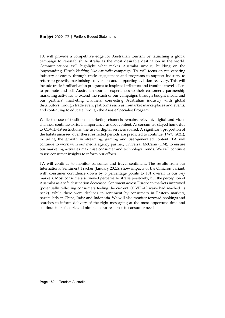TA will provide a competitive edge for Australian tourism by launching a global campaign to re-establish Australia as the most desirable destination in the world. Communications will highlight what makes Australia unique, building on the longstanding *There's Nothing Like Australia* campaign. TA will focus on rejuvenating industry advocacy through trade engagement and programs to support industry to return to growth, maximising conversion and supporting aviation recovery. This will include trade familiarisation programs to inspire distributors and frontline travel sellers to promote and sell Australian tourism experiences to their customers, partnership marketing activities to extend the reach of our campaigns through bought media and our partners' marketing channels; connecting Australian industry with global distributors through trade event platforms such as in-market marketplaces and events; and continuing to educate through the Aussie Specialist Program.

While the use of traditional marketing channels remains relevant, digital and video channels continue to rise in importance, as does content. As consumers stayed home due to COVID-19 restrictions, the use of digital services soared. A significant proportion of the habits amassed over these restricted periods are predicted to continue (PWC, 2021), including the growth in streaming, gaming and user-generated content. TA will continue to work with our media agency partner, Universal McCann (UM), to ensure our marketing activities maximise consumer and technology trends. We will continue to use consumer insights to inform our efforts.

TA will continue to monitor consumer and travel sentiment. The results from our International Sentiment Tracker (January 2022), show impacts of the Omicron variant, with consumer confidence down by 6 percentage points to 101 overall in our key markets. Most consumers surveyed perceive Australia positively, but the perception of Australia as a safe destination decreased. Sentiment across European markets improved (potentially reflecting consumers feeling the current COVID-19 wave had reached its peak), while there were declines in sentiment by consumers in Eastern markets, particularly in China, India and Indonesia. We will also monitor forward bookings and searches to inform delivery of the right messaging at the most opportune time and continue to be flexible and nimble in our response to consumer needs.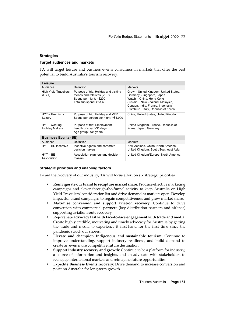#### **Strategies**

#### **Target audiences and markets**

TA will target leisure and business events consumers in markets that offer the best potential to build Australia's tourism recovery.

| Leisure                                |                                                                                                                               |                                                                                                                                                                                                                 |  |  |  |  |
|----------------------------------------|-------------------------------------------------------------------------------------------------------------------------------|-----------------------------------------------------------------------------------------------------------------------------------------------------------------------------------------------------------------|--|--|--|--|
| Audience                               | <b>Definition</b>                                                                                                             | <b>Markets</b>                                                                                                                                                                                                  |  |  |  |  |
| <b>High Yield Travellers</b><br>(HYT)  | Purpose of trip: Holiday and visiting<br>friends and relatives (VFR)<br>Spend per night: >\$200<br>Total trip spend: >\$1,500 | Grow - United Kingdom, United States,<br>Germany, Singapore, Japan<br>Watch - China, Hong Kong<br>Sustain - New Zealand, Malaysia,<br>Canada, India, France, Indonesia<br>Distribute - Italy, Republic of Korea |  |  |  |  |
| HYT - Premium/<br>Luxury               | Purpose of trip: Holiday and VFR<br>Spend per person per night: >\$1,000                                                      | China, United States, United Kingdom                                                                                                                                                                            |  |  |  |  |
| HYT - Working<br><b>Holiday Makers</b> | Purpose of trip: Employment<br>Length of stay: $>31$ days<br>Age group: <35 years                                             | United Kingdom, France, Republic of<br>Korea, Japan, Germany                                                                                                                                                    |  |  |  |  |
| <b>Business Events (BE)</b>            |                                                                                                                               |                                                                                                                                                                                                                 |  |  |  |  |
| Audience                               | Definition                                                                                                                    | <b>Markets</b>                                                                                                                                                                                                  |  |  |  |  |
| HYT - BE Incentive                     | Incentive agents and corporate<br>decision makers                                                                             | New Zealand, China, North America,<br>United Kingdom, South/Southeast Asia                                                                                                                                      |  |  |  |  |
| $HYT - BE$<br>Association              | Association planners and decision-<br>makers                                                                                  | United Kingdom/Europe, North America                                                                                                                                                                            |  |  |  |  |

#### **Strategic priorities and enabling factors**

To aid the recovery of our industry, TA will focus effort on six strategic priorities:

- **Reinvigorate our brand to recapture market share**: Produce effective marketing campaigns and clever through-the-funnel activity to keep Australia on High Yield Travellers' consideration list and drive demand as markets open. Develop impactful brand campaigns to regain competitiveness and grow market share.
- **Maximise conversion and support aviation recovery**: Continue to drive conversion with commercial partners (key distribution partners and airlines) supporting aviation route recovery.
- **Rejuvenate advocacy fast with face-to-face engagement with trade and media**: Create highly credible, motivating and timely advocacy for Australia by getting the trade and media to experience it first-hand for the first time since the pandemic struck our shores.
- **Elevate and champion Indigenous and sustainable tourism**: Continue to improve understanding, support industry readiness, and build demand to create an even more competitive future destination.
- **Support industry recovery and growth**: Continue to be a platform for industry, a source of information and insights, and an advocate with stakeholders to reengage international markets and reimagine future opportunities.
- **Expedite Business Events recovery**: Drive demand to increase conversion and position Australia for long-term growth.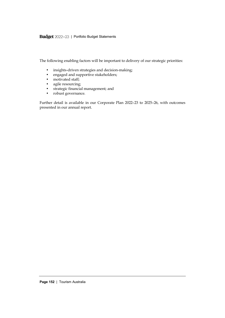#### Budget 2022-23 | Portfolio Budget Statements

The following enabling factors will be important to delivery of our strategic priorities:

- insights-driven strategies and decision-making;
- engaged and supportive stakeholders;
- motivated staff;
- agile resourcing;
- strategic financial management; and
- robust governance.

Further detail is available in our Corporate Plan 2022–23 to 2025–26, with outcomes presented in our annual report.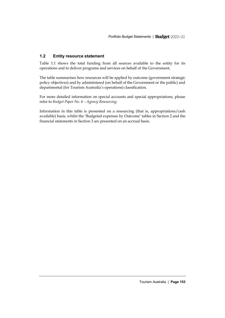# <span id="page-8-0"></span>**1.2 Entity resource statement**

Table 1.1 shows the total funding from all sources available to the entity for its operations and to deliver programs and services on behalf of the Government.

The table summarises how resources will be applied by outcome (government strategic policy objectives) and by administered (on behalf of the Government or the public) and departmental (for Tourism Australia's operations) classification.

For more detailed information on special accounts and special appropriations, please refer to *Budget Paper No. 4 – Agency Resourcing*.

Information in this table is presented on a resourcing (that is, appropriations/cash available) basis, whilst the 'Budgeted expenses by Outcome' tables in Section 2 and the financial statements in Section 3 are presented on an accrual basis.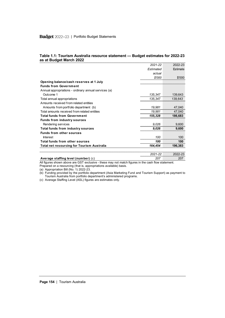|                                                      | 2021-22   | 2022-23  |
|------------------------------------------------------|-----------|----------|
|                                                      | Estimated | Estimate |
|                                                      | actual    |          |
|                                                      | \$'000    | \$'000   |
| Opening balance/cash reserves at 1 July              |           |          |
| <b>Funds from Government</b>                         |           |          |
| Annual appropriations - ordinary annual services (a) |           |          |
| Outcome 1                                            | 135,347   | 139.643  |
| Total annual appropriations                          | 135,347   | 139.643  |
| Amounts received from related entities               |           |          |
| Amounts from portfolio department (b)                | 19,981    | 47.040   |
| Total amounts received from related entities         | 19.981    | 47,040   |
| <b>Total funds from Government</b>                   | 155,328   | 186.683  |
| <b>Funds from industry sources</b>                   |           |          |
| Rendering services                                   | 9.026     | 9.600    |
| Total funds from industry sources                    | 9.026     | 9.600    |
| <b>Funds from other sources</b>                      |           |          |
| <b>Interest</b>                                      | 100       | 100      |
| <b>Total funds from other sources</b>                | 100       | 100      |
| <b>Total net resourcing for Tourism Australia</b>    | 164,454   | 196.383  |
|                                                      |           |          |
|                                                      | 2021-22   |          |
| Average staffing level (number) (c)                  | 207       | 207      |

#### **Table 1.1: Tourism Australia resource statement — Budget estimates for 2022-23 as at Budget March 2022**

All figures shown above are GST exclusive - these may not match figures in the cash flow statement.

Prepared on a resourcing (that is, appropriations available) basis.

(a) Appropriation Bill (No. 1) 2022-23.

(b) Funding provided by the portfolio department (Asia Marketing Fund and Tourism Support) as payment to Tourism Australia from portfolio department's administered programs.

(c) Average Staffing Level (ASL) figures are estimates only.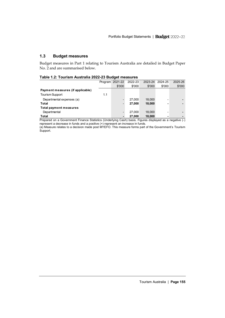# <span id="page-10-0"></span>**1.3 Budget measures**

Budget measures in Part 1 relating to Tourism Australia are detailed in Budget Paper No. 2 and are summarised below.

| Table 1.2: Tourism Australia 2022-23 Budget measures |  |
|------------------------------------------------------|--|
|------------------------------------------------------|--|

|                                                                                                          |     | Program 2021-22 | 2022-23 |        | 2023-24 2024-25 | 2025-26 |
|----------------------------------------------------------------------------------------------------------|-----|-----------------|---------|--------|-----------------|---------|
|                                                                                                          |     | \$'000          | \$'000  | \$'000 | \$'000          | \$'000  |
| Payment measures (if applicable)                                                                         |     |                 |         |        |                 |         |
| <b>Tourism Support</b>                                                                                   | 1.1 |                 |         |        |                 |         |
| Departmental expenses (a)                                                                                |     |                 | 27.000  | 18,000 |                 |         |
| Total                                                                                                    |     |                 | 27.000  | 18.000 |                 |         |
| <b>Total payment measures</b>                                                                            |     |                 |         |        |                 |         |
| Departmental                                                                                             |     |                 | 27,000  | 18.000 |                 |         |
| Total                                                                                                    |     |                 | 27.000  | 18.000 |                 |         |
| Drenared on a Covernment Finance Statistics (Underlying Cash) hasis. Figures displayed as a negative (-) |     |                 |         |        |                 |         |

Prepared on a Government Finance Statistics (Underlying Cash) basis. Figures displayed as a negative (-) represent a decrease in funds and a positive (+) represent an increase in funds.

(a) Measure relates to a decision made post MYEFO. This measure forms part of the Government's Tourism Support.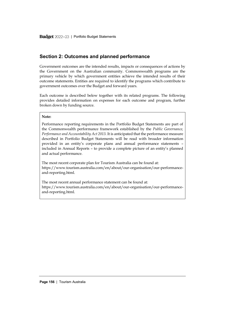# <span id="page-11-0"></span>**Section 2: Outcomes and planned performance**

Government outcomes are the intended results, impacts or consequences of actions by the Government on the Australian community. Commonwealth programs are the primary vehicle by which government entities achieve the intended results of their outcome statements. Entities are required to identify the programs which contribute to government outcomes over the Budget and forward years.

Each outcome is described below together with its related programs. The following provides detailed information on expenses for each outcome and program, further broken down by funding source.

#### **Note:**

Performance reporting requirements in the Portfolio Budget Statements are part of the Commonwealth performance framework established by the *Public Governance, Performance and Accountability Act 2013*. It is anticipated that the performance measure described in Portfolio Budget Statements will be read with broader information provided in an entity's corporate plans and annual performance statements – included in Annual Reports – to provide a complete picture of an entity's planned and actual performance.

The most recent corporate plan for Tourism Australia can be found at: [https://www.tourism.australia.com/en/about/our-organisation/our-performance](https://www.tourism.australia.com/en/about/our-organisation/our-performance-and-reporting.html)[and-reporting.html.](https://www.tourism.australia.com/en/about/our-organisation/our-performance-and-reporting.html)

The most recent annual performance statement can be found at: [https://www.tourism.australia.com/en/about/our-organisation/our-performance](https://www.tourism.australia.com/en/about/our-organisation/our-performance-and-reporting.html)[and-reporting.html.](https://www.tourism.australia.com/en/about/our-organisation/our-performance-and-reporting.html)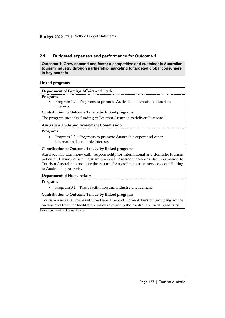# <span id="page-12-0"></span>**2.1 Budgeted expenses and performance for Outcome 1**

**Outcome 1: Grow demand and foster a competitive and sustainable Australian tourism industry through partnership marketing to targeted global consumers in key markets**

#### **Linked programs**

| Department of Foreign Affairs and Trade                                                                                                                                                                                                                                                      |
|----------------------------------------------------------------------------------------------------------------------------------------------------------------------------------------------------------------------------------------------------------------------------------------------|
| Programs<br>Program 1.7 - Programs to promote Australia's international tourism<br>interests                                                                                                                                                                                                 |
| Contribution to Outcome 1 made by linked programs                                                                                                                                                                                                                                            |
| The program provides funding to Tourism Australia to deliver Outcome 1.                                                                                                                                                                                                                      |
| <b>Australian Trade and Investment Commission</b>                                                                                                                                                                                                                                            |
| Programs                                                                                                                                                                                                                                                                                     |
| Program 1.2 - Programs to promote Australia's export and other<br>international economic interests                                                                                                                                                                                           |
| Contribution to Outcome 1 made by linked programs                                                                                                                                                                                                                                            |
| Austrade has Commonwealth responsibility for international and domestic tourism<br>policy and issues official tourism statistics. Austrade provides the information to<br>Tourism Australia to promote the export of Australian tourism services, contributing<br>to Australia's prosperity. |
| <b>Department of Home Affairs</b>                                                                                                                                                                                                                                                            |
| Programs                                                                                                                                                                                                                                                                                     |
| Program 3.1 - Trade facilitation and industry engagement                                                                                                                                                                                                                                     |
| Contribution to Outcome 1 made by linked programs<br>$\sim$ and the contract of the contract of the contract of the contract of the contract of the contract of the contract of the contract of the contract of the contract of the contract of the contract of the contract of the          |

Tourism Australia works with the Department of Home Affairs by providing advice on visa and traveller facilitation policy relevant to the Australian tourism industry.

Table continued on the next page.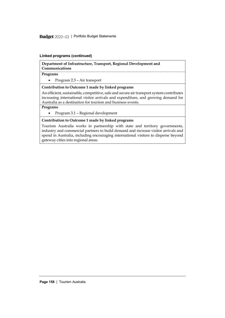Budget 2022-23 | Portfolio Budget Statements

#### **Linked programs (continued)**

**Department of Infrastructure, Transport, Regional Development and Communications**

#### **Programs**

• Program 2.3 – Air transport

#### **Contribution to Outcome 1 made by linked programs**

An efficient, sustainable, competitive, safe and secure air transport system contributes increasing international visitor arrivals and expenditure, and growing demand for Australia as a destination for tourism and business events.

#### **Programs**

• Program 3.1 – Regional development

#### **Contribution to Outcome 1 made by linked programs**

Tourism Australia works in partnership with state and territory governments, industry and commercial partners to build demand and increase visitor arrivals and spend in Australia, including encouraging international visitors to disperse beyond gateway cities into regional areas.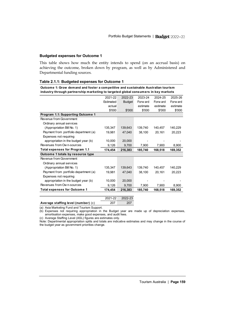#### **Budgeted expenses for Outcome 1**

**Table 2.1.1: Budgeted expenses for Outcome 1**

This table shows how much the entity intends to spend (on an accrual basis) on achieving the outcome, broken down by program, as well as by Administered and Departmental funding sources.

| Outcome 1: Grow demand and foster a competitive and sustainable Australian tourism<br>industry through partnership marketing to targeted global consumers in key markets |           |               |          |          |          |
|--------------------------------------------------------------------------------------------------------------------------------------------------------------------------|-----------|---------------|----------|----------|----------|
|                                                                                                                                                                          | 2021-22   | 2022-23       | 2023-24  | 2024-25  | 2025-26  |
|                                                                                                                                                                          | Estimated | <b>Budget</b> | Forw ard | Forw ard | Forw ard |
|                                                                                                                                                                          | actual    |               | estimate | estimate | estimate |
|                                                                                                                                                                          | \$'000    | \$'000        | \$'000   | \$'000   | \$'000   |
| Program 1.1: Supporting Outcome 1                                                                                                                                        |           |               |          |          |          |
| Revenue from Government                                                                                                                                                  |           |               |          |          |          |
| Ordinary annual services                                                                                                                                                 |           |               |          |          |          |
| (Appropriation Bill No. 1)                                                                                                                                               | 135,347   | 139,643       | 139,740  | 140,457  | 140,229  |
| Payment from portfolio department (a)                                                                                                                                    | 19,981    | 47,040        | 38,100   | 20,161   | 20,223   |
| Expenses not requiring                                                                                                                                                   |           |               |          |          |          |
| appropriation in the budget year (b)                                                                                                                                     | 10,000    | 20,000        |          |          |          |
| Revenues from Own-sources                                                                                                                                                | 9,126     | 9,700         | 7,900    | 7,900    | 8,900    |
| Total expenses for Program 1.1                                                                                                                                           | 174,454   | 216,383       | 185,740  | 168,518  | 169,352  |
| Outcome 1 totals by resource type                                                                                                                                        |           |               |          |          |          |
| Revenue from Government                                                                                                                                                  |           |               |          |          |          |
| Ordinary annual services                                                                                                                                                 |           |               |          |          |          |
| (Appropriation Bill No. 1)                                                                                                                                               | 135,347   | 139,643       | 139,740  | 140,457  | 140,229  |
| Payment from portfolio department (a)                                                                                                                                    | 19.981    | 47.040        | 38.100   | 20,161   | 20,223   |
| Expenses not requiring                                                                                                                                                   |           |               |          |          |          |
| appropriation in the budget year (b)                                                                                                                                     | 10,000    | 20,000        |          |          |          |
| Revenues from Own-sources                                                                                                                                                | 9.126     | 9,700         | 7,900    | 7,900    | 8,900    |
| <b>Total expenses for Outcome 1</b>                                                                                                                                      | 174,454   | 216,383       | 185,740  | 168,518  | 169,352  |
|                                                                                                                                                                          |           |               |          |          |          |
|                                                                                                                                                                          | 2021-22   | 2022-23       |          |          |          |
| Average staffing level (number) (c)                                                                                                                                      | 207       | 207           |          |          |          |

(a) Asia Marketing Fund and Tourism Support.

(b) Expenses not requiring appropriation in the Budget year are made up of depreciation expenses, amortisation expenses, make good expenses, and audit fees.

(c) Average Staffing Level (ASL) figures are estimates only.

Note: Departmental appropriation splits and totals are indicative estimates and may change in the course of the budget year as government priorities change.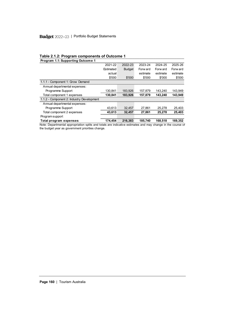# Budget 2022-23 | Portfolio Budget Statements

| Program 1.1: Supporting Outcome 1         |           |               |          |          |          |
|-------------------------------------------|-----------|---------------|----------|----------|----------|
|                                           | 2021-22   | 2022-23       | 2023-24  | 2024-25  | 2025-26  |
|                                           | Estimated | <b>Budget</b> | Forw ard | Forw ard | Forw ard |
|                                           | actual    |               | estimate | estimate | estimate |
|                                           | \$'000    | \$'000        | \$'000   | \$'000   | \$'000   |
| 1.1.1 - Component 1: Grow Demand          |           |               |          |          |          |
| Annual departmental expenses:             |           |               |          |          |          |
| Programme Support                         | 130.841   | 183,926       | 157,879  | 143,240  | 143,949  |
| Total component 1 expenses                | 130,841   | 183,926       | 157,879  | 143,240  | 143,949  |
| 1.1.2 - Component 2: Industry Development |           |               |          |          |          |
| Annual departmental expenses:             |           |               |          |          |          |
| Programme Support                         | 43.613    | 32,457        | 27,861   | 25,278   | 25,403   |
| Total component 2 expenses                | 43.613    | 32,457        | 27,861   | 25,278   | 25,403   |
| Program support                           |           |               |          |          |          |
| <b>Total program expenses</b>             | 174.454   | 216,383       | 185.740  | 168.518  | 169.352  |

#### **Table 2.1.2: Program components of Outcome 1**

Note: Departmental appropriation splits and totals are indicative estimates and may change in the course of the budget year as government priorities change.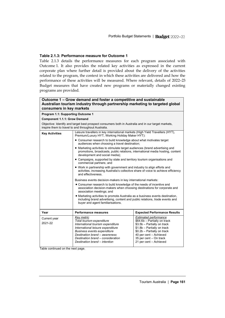#### **Table 2.1.3: Performance measure for Outcome 1**

Table 2.1.3 details the performance measures for each program associated with Outcome 1. It also provides the related key activities as expressed in the current corporate plan where further detail is provided about the delivery of the activities related to the program, the context in which these activities are delivered and how the performance of these activities will be measured. Where relevant, details of 2022–23 Budget measures that have created new programs or materially changed existing programs are provided.

#### **Outcome 1 – Grow demand and foster a competitive and sustainable Australian tourism industry through partnership marketing to targeted global consumers in key markets**

| Program 1.1: Supporting Outcome 1   |                                                                                                                                                                                                                                                                |                                                                                                                                                                                                                                         |  |  |  |
|-------------------------------------|----------------------------------------------------------------------------------------------------------------------------------------------------------------------------------------------------------------------------------------------------------------|-----------------------------------------------------------------------------------------------------------------------------------------------------------------------------------------------------------------------------------------|--|--|--|
| <b>Component 1.1.1: Grow Demand</b> |                                                                                                                                                                                                                                                                |                                                                                                                                                                                                                                         |  |  |  |
|                                     | Objective: Identify and target best prospect consumers both in Australia and in our target markets,<br>inspire them to travel to and throughout Australia.                                                                                                     |                                                                                                                                                                                                                                         |  |  |  |
| <b>Key Activities</b>               | Leisure travellers in key international markets (High Yield Travellers (HYT),<br>Premium/Luxury HYT, Working Holiday Maker HYT):                                                                                                                               |                                                                                                                                                                                                                                         |  |  |  |
|                                     | • Consumer research to build knowledge about what motivates target<br>audiences when choosing a travel destination;                                                                                                                                            |                                                                                                                                                                                                                                         |  |  |  |
|                                     | • Marketing activities to stimulate target audiences (brand advertising and<br>promotions, broadcasts, public relations, international media hosting, content<br>development and social media);                                                                |                                                                                                                                                                                                                                         |  |  |  |
|                                     | • Campaigns, supported by state and territory tourism organisations and<br>commercial partners; and                                                                                                                                                            |                                                                                                                                                                                                                                         |  |  |  |
|                                     | • Work in partnership with government and industry to align efforts and<br>activities, increasing Australia's collective share of voice to achieve efficiency<br>and effectiveness.                                                                            |                                                                                                                                                                                                                                         |  |  |  |
|                                     | Business events decision-makers in key international markets:                                                                                                                                                                                                  |                                                                                                                                                                                                                                         |  |  |  |
|                                     | • Consumer research to build knowledge of the needs of incentive and<br>association decision-makers when choosing destinations for corporate and<br>association meetings; and                                                                                  |                                                                                                                                                                                                                                         |  |  |  |
|                                     | • Marketing activities to promote Australia as a business events destination,<br>including brand advertising, content and public relations, trade events and<br>buyer and agent familiarisations.                                                              |                                                                                                                                                                                                                                         |  |  |  |
| Year                                | <b>Performance measures</b>                                                                                                                                                                                                                                    | <b>Expected Performance Results</b>                                                                                                                                                                                                     |  |  |  |
| Current year<br>2021-22             | Key metric<br>Total tourism expenditure<br>International tourism expenditure<br>International leisure expenditure<br><b>Business events expenditure</b><br>Destination brand - awareness<br>Destination brand - consideration<br>Destination brand - intention | <b>Estimated performance</b><br>\$64.6b - Partially on track<br>\$3.5b - Partially on track<br>\$1.8b - Partially on track<br>\$0.2b - Partially on track<br>40 per cent - Achieved<br>35 per cent – On track<br>21 per cent - Achieved |  |  |  |

Table continued on the next page.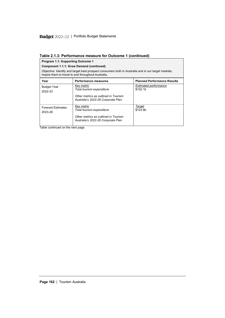| Program 1.1: Supporting Outcome 1   |                                                                                                                                                            |                                               |  |  |  |  |
|-------------------------------------|------------------------------------------------------------------------------------------------------------------------------------------------------------|-----------------------------------------------|--|--|--|--|
|                                     | Component 1.1.1: Grow Demand (continued)                                                                                                                   |                                               |  |  |  |  |
|                                     | Objective: Identify and target best prospect consumers both in Australia and in our target markets,<br>inspire them to travel to and throughout Australia. |                                               |  |  |  |  |
| Year                                | <b>Planned Performance Results</b><br>Performance measures                                                                                                 |                                               |  |  |  |  |
| <b>Budget Year</b><br>2022-23       | Key metric<br>Total tourism expenditure<br>Other metrics as outlined in Tourism<br>Australia's 2022-26 Corporate Plan                                      | Estimated performance<br>\$102.1 <sub>b</sub> |  |  |  |  |
| <b>Forward Estimates</b><br>2023-26 | Key metric<br>Total tourism expenditure<br>Other metrics as outlined in Tourism<br>Australia's 2022-26 Corporate Plan                                      | Target<br>\$123.8b                            |  |  |  |  |

| Table 2.1.3: Performance measure for Outcome 1 (continued) |  |  |
|------------------------------------------------------------|--|--|
|------------------------------------------------------------|--|--|

Table continued on the next page.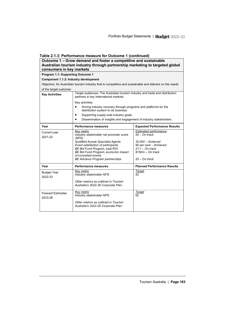| Table 2.1.3: Performance measure for Outcome 1 (continued) |  |  |
|------------------------------------------------------------|--|--|
|------------------------------------------------------------|--|--|

| consumers in key markets                                           | Outcome 1 - Grow demand and foster a competitive and sustainable<br>Australian tourism industry through partnership marketing to targeted global |                                               |  |  |  |
|--------------------------------------------------------------------|--------------------------------------------------------------------------------------------------------------------------------------------------|-----------------------------------------------|--|--|--|
| Program 1.1: Supporting Outcome 1                                  |                                                                                                                                                  |                                               |  |  |  |
| Component 1.1.2: Industry development                              |                                                                                                                                                  |                                               |  |  |  |
|                                                                    | Objective: An Australian tourism industry that is competitive and sustainable and delivers on the needs                                          |                                               |  |  |  |
| of the target customer.                                            |                                                                                                                                                  |                                               |  |  |  |
| <b>Key Activities</b>                                              | Target audiences: The Australian tourism industry and trade and distribution<br>partners in key international markets                            |                                               |  |  |  |
|                                                                    | Key activities:                                                                                                                                  |                                               |  |  |  |
|                                                                    | Driving industry recovery through programs and platforms for the<br>distribution system to do business                                           |                                               |  |  |  |
| Supporting supply-side industry goals                              |                                                                                                                                                  |                                               |  |  |  |
| Dissemination of insights and engagement of industry stakeholders. |                                                                                                                                                  |                                               |  |  |  |
| Year                                                               | <b>Expected Performance Results</b><br><b>Performance measures</b>                                                                               |                                               |  |  |  |
| Current year<br>2021-22                                            | Key metric<br>Industry stakeholder net promoter score<br>(NPS)                                                                                   | <b>Estimated performance</b><br>50 – On track |  |  |  |
|                                                                    | <b>Qualified Aussie Specialist Agents</b><br>Event satisfaction of participants                                                                  | 30.000 – Achieved<br>90 per cent - Achieved   |  |  |  |
|                                                                    | BE Bid Fund Program, total ROI                                                                                                                   | $21:1 - On track$                             |  |  |  |
|                                                                    | BE Bid Fund Program, economic impact                                                                                                             | $$150m - On track$                            |  |  |  |
|                                                                    | of converted events<br>BE Advance Program partnerships                                                                                           | $20 - On$ track                               |  |  |  |
| Year                                                               | <b>Performance measures</b>                                                                                                                      | <b>Planned Performance Results</b>            |  |  |  |
| <b>Budget Year</b><br>2022-23                                      | <b>Key metric</b><br>Industry stakeholder NPS                                                                                                    | <b>Target</b><br>52                           |  |  |  |
|                                                                    | Other metrics as outlined in Tourism<br>Australia's 2022-26 Corporate Plan                                                                       |                                               |  |  |  |
| <b>Forward Estimates</b><br>2023-26                                | Key metric<br>Industry stakeholder NPS                                                                                                           | Target<br>52                                  |  |  |  |
|                                                                    | Other metrics as outlined in Tourism<br>Australia's 2022-26 Corporate Plan                                                                       |                                               |  |  |  |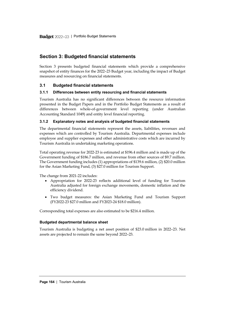# <span id="page-19-0"></span>**Section 3: Budgeted financial statements**

Section 3 presents budgeted financial statements which provide a comprehensive snapshot of entity finances for the 2022–23 Budget year, including the impact of Budget measures and resourcing on financial statements.

# <span id="page-19-1"></span>**3.1 Budgeted financial statements**

#### **3.1.1 Differences between entity resourcing and financial statements**

Tourism Australia has no significant differences between the resource information presented in the Budget Papers and in the Portfolio Budget Statements as a result of differences between whole-of-government level reporting (under Australian Accounting Standard 1049) and entity level financial reporting.

## **3.1.2 Explanatory notes and analysis of budgeted financial statements**

The departmental financial statements represent the assets, liabilities, revenues and expenses which are controlled by Tourism Australia. Departmental expenses include employee and supplier expenses and other administrative costs which are incurred by Tourism Australia in undertaking marketing operations.

Total operating revenue for 2022-23 is estimated at \$196.4 million and is made up of the Government funding of \$186.7 million, and revenue from other sources of \$9.7 million. The Government funding includes (1) appropriations of \$139.6 million, (2) \$20.0 million for the Asian Marketing Fund, (3) \$27.0 million for Tourism Support.

The change from 2021-22 includes:

- Appropriation for 2022-23 reflects additional level of funding for Tourism Australia adjusted for foreign exchange movements, domestic inflation and the efficiency dividend.
- Two budget measures: the Asian Marketing Fund and Tourism Support (FY2022-23 \$27.0 million and FY2023-24 \$18.0 million).

Corresponding total expenses are also estimated to be \$216.4 million.

#### **Budgeted departmental balance sheet**

Tourism Australia is budgeting a net asset position of \$23.0 million in 2022–23. Net assets are projected to remain the same beyond 2022–23.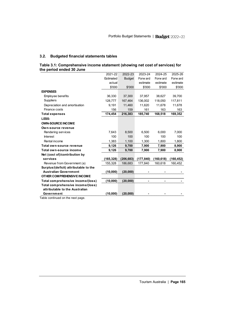# **3.2. Budgeted financial statements tables**

| Table 3.1: Comprehensive income statement (showing net cost of services) for |  |  |  |
|------------------------------------------------------------------------------|--|--|--|
| the period ended 30 June                                                     |  |  |  |

| the period ended 30 June              |           |               |            |            |            |
|---------------------------------------|-----------|---------------|------------|------------|------------|
|                                       | 2021-22   | 2022-23       | 2023-24    | 2024-25    | 2025-26    |
|                                       | Estimated | <b>Budget</b> | Forw ard   | Forw ard   | Forw ard   |
|                                       | actual    |               | estimate   | estimate   | estimate   |
|                                       | \$'000    | \$'000        | \$'000     | \$'000     | \$'000     |
| <b>EXPENSES</b>                       |           |               |            |            |            |
| Employee benefits                     | 36,330    | 37,300        | 37,957     | 38,627     | 39,700     |
| <b>Suppliers</b>                      | 128,777   | 167,464       | 136,002    | 118,050    | 117,811    |
| Depreciation and amortisation         | 9,191     | 11,460        | 11,620     | 11,678     | 11,678     |
| Finance costs                         | 156       | 159           | 161        | 163        | 163        |
| <b>Total expenses</b>                 | 174,454   | 216,383       | 185,740    | 168,518    | 169,352    |
| LESS:                                 |           |               |            |            |            |
| <b>OWN-SOURCE INCOME</b>              |           |               |            |            |            |
| Own-source revenue                    |           |               |            |            |            |
| Rendering services                    | 7,643     | 8,500         | 6,500      | 6,000      | 7,000      |
| <b>Interest</b>                       | 100       | 100           | 100        | 100        | 100        |
| Rental income                         | 1,383     | 1.100         | 1.300      | 1,800      | 1,800      |
| Total own-source revenue              | 9,126     | 9,700         | 7,900      | 7,900      | 8,900      |
| Total own-source income               | 9,126     | 9,700         | 7,900      | 7,900      | 8,900      |
| Net (cost of)/contribution by         |           |               |            |            |            |
| services                              | (165,328) | (206, 683)    | (177, 840) | (160, 618) | (160, 452) |
| Revenue from Government (a)           | 155,328   | 186,683       | 177,840    | 160,618    | 160,452    |
| Surplus/(deficit) attributable to the |           |               |            |            |            |
| <b>Australian Government</b>          | (10,000)  | (20,000)      |            |            |            |
| OTHER COMPREHENSIVE INCOME            |           |               |            |            |            |
| Total comprehensive income/(loss)     | (10,000)  | (20,000)      | ۰          |            |            |
| Total comprehensive income/(loss)     |           |               |            |            |            |
| attributable to the Australian        |           |               |            |            |            |
| Government                            | (10,000)  | (20,000)      |            |            |            |

Table continued on the next page.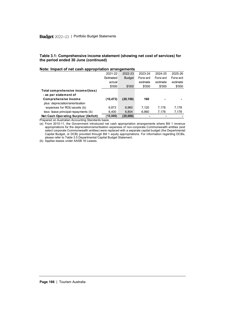#### **Table 3.1: Comprehensive income statement (showing net cost of services) for the period ended 30 June (continued)**

| Note: Impact of net cash appropriation arrangements |           |               |          |          |          |  |  |  |
|-----------------------------------------------------|-----------|---------------|----------|----------|----------|--|--|--|
|                                                     | 2021-22   | 2022-23       | 2023-24  | 2024-25  | 2025-26  |  |  |  |
|                                                     | Estimated | <b>Budget</b> | Forw ard | Forw ard | Forw ard |  |  |  |
|                                                     | actual    |               | estimate | estimate | estimate |  |  |  |
|                                                     | \$'000    | \$'000        | \$'000   | \$'000   | \$'000   |  |  |  |
| Total comprehensive income/(loss)                   |           |               |          |          |          |  |  |  |
| - as per statement of                               |           |               |          |          |          |  |  |  |
| <b>Comprehensive Income</b>                         | (10,473)  | (20, 156)     | 160      |          |          |  |  |  |
| plus: depreciation/amortisation                     |           |               |          |          |          |  |  |  |
| expenses for ROU assets (b)                         | 6.873     | 6.960         | 7.120    | 7.178    | 7.178    |  |  |  |
| less: lease principal repayments (b)                | 6.400     | 6.804         | 6.960    | 7.178    | 7.178    |  |  |  |
| Net Cash Operating Surplus/ (Deficit)               | (10.000)  | (20.000)      |          |          |          |  |  |  |
| Propared on Australian Assounting Standards basis   |           |               |          |          |          |  |  |  |

#### **Note: Impact of net cash appropriation arrangements**

Prepared on Australian Accounting Standards basis.

(a) From 2010-11, the Government introduced net cash appropriation arrangements where Bill 1 revenue appropriations for the depreciation/amortisation expenses of non-corporate Commonwealth entities (and select corporate Commonwealth entities) were replaced with a separate capital budget (the Departmental Capital Budget, or DCB) provided through Bill 1 equity appropriations. For information regarding DCBs, please refer to Table 3.5 Departmental Capital Budget Statement.

(b) Applies leases under AASB 16 Leases.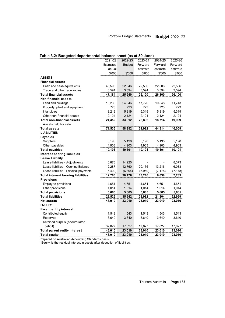|                                           | Table 3.2: Budgeted departmental balance sheet (as at 30 June) |               |          |          |          |  |  |  |
|-------------------------------------------|----------------------------------------------------------------|---------------|----------|----------|----------|--|--|--|
|                                           | 2021-22                                                        | 2022-23       | 2023-24  | 2024-25  | 2025-26  |  |  |  |
|                                           | Estimated                                                      | <b>Budget</b> | Forw ard | Forw ard | Forw ard |  |  |  |
|                                           | actual                                                         |               | estimate | estimate | estimate |  |  |  |
|                                           | \$'000                                                         | \$'000        | \$'000   | \$'000   | \$'000   |  |  |  |
| <b>ASSETS</b>                             |                                                                |               |          |          |          |  |  |  |
| <b>Financial assets</b>                   |                                                                |               |          |          |          |  |  |  |
| Cash and cash equivalents                 | 43,590                                                         | 22,346        | 22,506   | 22,506   | 22,506   |  |  |  |
| Trade and other receivables               | 3,594                                                          | 3,594         | 3,594    | 3,594    | 3,594    |  |  |  |
| <b>Total financial assets</b>             | 47,184                                                         | 25,940        | 26,100   | 26,100   | 26,100   |  |  |  |
| <b>Non-financial assets</b>               |                                                                |               |          |          |          |  |  |  |
| Land and buildings                        | 13,286                                                         | 24,846        | 17,726   | 10,548   | 11,743   |  |  |  |
| Property, plant and equipment             | 723                                                            | 723           | 723      | 723      | 723      |  |  |  |
| Intangibles                               | 8,219                                                          | 5,319         | 5,319    | 5,319    | 5,319    |  |  |  |
| Other non-financial assets                | 2,124                                                          | 2,124         | 2,124    | 2,124    | 2,124    |  |  |  |
| <b>Total non-financial assets</b>         | 24,352                                                         | 33,012        | 25,892   | 18,714   | 19,909   |  |  |  |
| Assets held for sale                      |                                                                |               |          |          |          |  |  |  |
| <b>Total assets</b>                       | 71,536                                                         | 58,952        | 51,992   | 44,814   | 46,009   |  |  |  |
| <b>LIABILITIES</b>                        |                                                                |               |          |          |          |  |  |  |
| <b>Payables</b>                           |                                                                |               |          |          |          |  |  |  |
| <b>Suppliers</b>                          | 5,198                                                          | 5,198         | 5,198    | 5,198    | 5,198    |  |  |  |
| Other payables                            | 4,903                                                          | 4,903         | 4,903    | 4,903    | 4,903    |  |  |  |
| <b>Total payables</b>                     | 10,101                                                         | 10,101        | 10,101   | 10,101   | 10,101   |  |  |  |
| <b>Interest bearing liabilities</b>       |                                                                |               |          |          |          |  |  |  |
| <b>Lease Liability</b>                    |                                                                |               |          |          |          |  |  |  |
| Lease liabilities - Adjustments           | 6,873                                                          | 14,220        |          |          | 8,373    |  |  |  |
| Lease liabilities - Opening Balance       | 12,287                                                         | 12,760        | 20,176   | 13,216   | 6,038    |  |  |  |
| Lease liabilities - Principal payments    | (6,400)                                                        | (6, 804)      | (6,960)  | (7, 178) | (7, 178) |  |  |  |
| <b>Total interest bearing liabilities</b> | 12,760                                                         | 20,176        | 13,216   | 6,038    | 7,233    |  |  |  |
| <b>Provisions</b>                         |                                                                |               |          |          |          |  |  |  |
| Employee provisions                       | 4,651                                                          | 4,651         | 4,651    | 4,651    | 4,651    |  |  |  |
| Other provisions                          | 1,014                                                          | 1,014         | 1,014    | 1,014    | 1,014    |  |  |  |
| <b>Total provisions</b>                   | 5,665                                                          | 5,665         | 5,665    | 5,665    | 5,665    |  |  |  |
| <b>Total liabilities</b>                  | 28,526                                                         | 35,942        | 28,982   | 21,804   | 22,999   |  |  |  |
| <b>Net assets</b>                         | 43,010                                                         | 23,010        | 23,010   | 23,010   | 23,010   |  |  |  |
| <b>EQUITY*</b>                            |                                                                |               |          |          |          |  |  |  |
| <b>Parent entity interest</b>             |                                                                |               |          |          |          |  |  |  |
| Contributed equity                        | 1,543                                                          | 1,543         | 1,543    | 1,543    | 1,543    |  |  |  |
| <b>Reserves</b>                           | 3,640                                                          | 3,640         | 3,640    | 3,640    | 3,640    |  |  |  |
| Retained surplus (accumulated             |                                                                |               |          |          |          |  |  |  |
| deficit)                                  | 37,827                                                         | 17,827        | 17,827   | 17,827   | 17,827   |  |  |  |
| <b>Total parent entity interest</b>       | 43,010                                                         | 23,010        | 23,010   | 23,010   | 23,010   |  |  |  |
| <b>Total equity</b>                       | 43,010                                                         | 23,010        | 23,010   | 23,010   | 23,010   |  |  |  |

Prepared on Australian Accounting Standards basis.

\*'Equity' is the residual interest in assets after deduction of liabilities.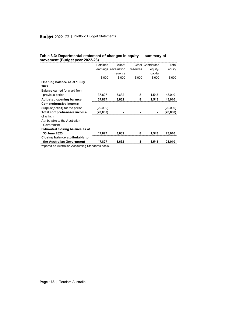| Table 3.3: Departmental statement of changes in equity - summary of |  |  |  |
|---------------------------------------------------------------------|--|--|--|
| movement (Budget year 2022-23)                                      |  |  |  |

|                                  | Retained | Asset                |          | Other Contributed | Total    |
|----------------------------------|----------|----------------------|----------|-------------------|----------|
|                                  |          |                      |          |                   |          |
|                                  |          | earnings revaluation | reserves | equity/           | equity   |
|                                  |          | reserve              |          | capital           |          |
|                                  | \$'000   | \$'000               | \$'000   | \$'000            | \$'000   |
| Opening balance as at 1 July     |          |                      |          |                   |          |
| 2022                             |          |                      |          |                   |          |
| Balance carried forw ard from    |          |                      |          |                   |          |
| previous period                  | 37,827   | 3,632                |          | 1.543             | 43,010   |
| Adjusted opening balance         | 37,827   | 3,632                | 8        | 1.543             | 43,010   |
| Comprehensive income             |          |                      |          |                   |          |
| Surplus/(deficit) for the period | (20.000) |                      |          |                   | (20,000) |
| Total comprehensive income       | (20,000) |                      |          |                   | (20,000) |
| of which:                        |          |                      |          |                   |          |
| Attributable to the Australian   |          |                      |          |                   |          |
| Government                       |          |                      |          |                   |          |
| Estimated closing balance as at  |          |                      |          |                   |          |
| 30 June 2023                     | 17.827   | 3.632                |          | 1.543             | 23.010   |
| Closing balance attributable to  |          |                      |          |                   |          |
| the Australian Government        | 17,827   | 3,632                | 8        | 1.543             | 23,010   |

Prepared on Australian Accounting Standards basis.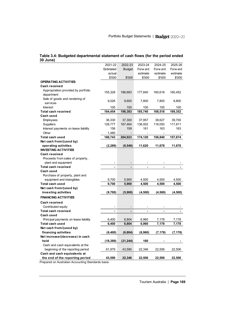| <b>30 June)</b>                                   |           |               |          |          |          |
|---------------------------------------------------|-----------|---------------|----------|----------|----------|
|                                                   | 2021-22   | 2022-23       | 2023-24  | 2024-25  | 2025-26  |
|                                                   | Estimated | <b>Budget</b> | Forw ard | Forw ard | Forw ard |
|                                                   | actual    |               | estimate | estimate | estimate |
|                                                   | \$'000    | \$'000        | \$'000   | \$'000   | \$'000   |
| <b>OPERATING ACTIVITIES</b>                       |           |               |          |          |          |
| Cash received                                     |           |               |          |          |          |
| Appropriation provided by portfolio<br>department | 155,328   | 186,683       | 177,840  | 160,618  | 160,452  |
| Sale of goods and rendering of<br>services        | 9,026     | 9,600         | 7,800    | 7,800    | 8,800    |
| <b>Interest</b>                                   | 100       | 100           | 100      | 100      | 100      |
| <b>Total cash received</b>                        | 164,454   | 196,383       | 185,740  | 168,518  | 169,352  |
| Cash used                                         |           |               |          |          |          |
| Employees                                         | 36,330    | 37,300        | 37,957   | 38,627   | 39,700   |
| Suppliers                                         | 128,777   | 167,464       | 136,002  | 118,050  | 117,811  |
| Interest payments on lease liability              | 156       | 159           | 161      | 163      | 163      |
| Other                                             | 1.480     |               |          |          |          |
| Total cash used                                   | 166,743   | 204,923       | 174,120  | 156,840  | 157,674  |
| Net cash from/(used by)                           |           |               |          |          |          |
| operating activities                              | (2, 289)  | (8, 540)      | 11,620   | 11,678   | 11,678   |
| <b>INVESTING ACTIVITIES</b>                       |           |               |          |          |          |
| Cash received                                     |           |               |          |          |          |
| Proceeds from sales of property,                  |           |               |          |          |          |
| plant and equipment                               |           |               |          |          |          |
| <b>Total cash received</b>                        |           |               |          |          |          |
| <b>Cash used</b>                                  |           |               |          |          |          |
| Purchase of property, plant and                   |           |               |          |          |          |
| equipment and intangibles                         | 9,700     | 5,900         | 4,500    | 4,500    | 4,500    |
| Total cash used                                   | 9,700     | 5,900         | 4,500    | 4,500    | 4,500    |
| Net cash from/(used by)                           |           |               |          |          |          |
| investing activities                              | (9,700)   | (5,900)       | (4, 500) | (4, 500) | (4,500)  |
| <b>FINANCING ACTIVITIES</b>                       |           |               |          |          |          |
| Cash received                                     |           |               |          |          |          |
| Contributed equity                                |           |               |          |          |          |
| <b>Total cash received</b>                        |           |               |          |          |          |
| Cash used                                         |           |               |          |          |          |
| Principal payments on lease liability             | 6,400     | 6,804         | 6,960    | 7,178    | 7,178    |
| Total cash used                                   | 6,400     | 6,804         | 6,960    | 7,178    | 7,178    |
| Net cash from/(used by)                           |           |               |          |          |          |
| financing activities                              | (6, 400)  | (6, 804)      | (6,960)  | (7, 178) | (7, 178) |
| Net increase/(decrease) in cash                   |           |               |          |          |          |
| held                                              | (18, 389) | (21, 244)     | 160      |          |          |
| Cash and cash equivalents at the                  |           |               |          |          |          |
| beginning of the reporting period                 | 61,979    | 43,590        | 22,346   | 22,506   | 22,506   |
| Cash and cash equivalents at                      |           |               |          |          |          |
| the end of the reporting period                   | 43,590    | 22,346        | 22,506   | 22,506   | 22,506   |

# **Table 3.4: Budgeted departmental statement of cash flows (for the period ended**

Prepared on Australian Accounting Standards basis.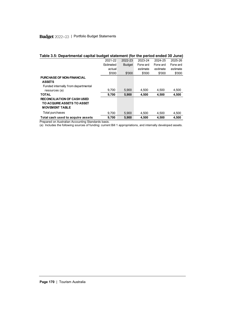| Table 3.5: Departmental capital budget statement (for the period ended 30 June)    |           |               |          |          |          |  |  |
|------------------------------------------------------------------------------------|-----------|---------------|----------|----------|----------|--|--|
|                                                                                    | 2021-22   | 2022-23       | 2023-24  | 2024-25  | 2025-26  |  |  |
|                                                                                    | Estimated | <b>Budget</b> | Forw ard | Forw ard | Forw ard |  |  |
|                                                                                    | actual    |               | estimate | estimate | estimate |  |  |
|                                                                                    | \$'000    | \$'000        | \$'000   | \$'000   | \$'000   |  |  |
| PURCHASE OF NON-FINANCIAL<br><b>ASSETS</b><br>Funded internally from departmental  |           |               |          |          |          |  |  |
| resources (a)                                                                      | 9.700     | 5.900         | 4.500    | 4.500    | 4.500    |  |  |
| <b>TOTAL</b>                                                                       | 9.700     | 5.900         | 4.500    | 4.500    | 4.500    |  |  |
| RECONCILIATION OF CASH USED<br>TO ACQUIRE ASSETS TO ASSET<br><b>MOVEMENT TABLE</b> |           |               |          |          |          |  |  |
| Total purchases                                                                    | 9.700     | 5.900         | 4.500    | 4.500    | 4,500    |  |  |
| Total cash used to acquire assets                                                  | 9.700     | 5.900         | 4.500    | 4.500    | 4.500    |  |  |

Prepared on Australian Accounting Standards basis.

(a) Includes the following sources of funding: current Bill 1 appropriations, and internally developed assets.